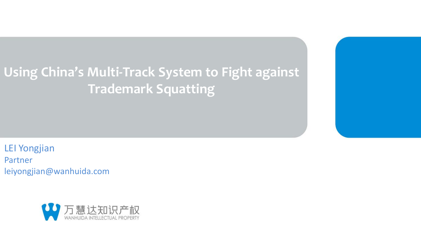# **Using China's Multi-Track System to Fight against Trademark Squatting**

LEI Yongjian Partner leiyongjian@wanhuida.com

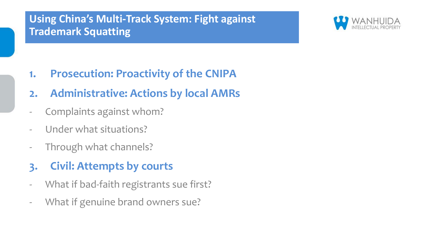## **Using China's Multi-Track System: Fight against Trademark Squatting**



**1. Prosecution: Proactivity of the CNIPA**

## **2. Administrative: Actions by local AMRs**

- Complaints against whom?
- Under what situations?
- Through what channels?
- **3. Civil: Attempts by courts**
- What if bad-faith registrants sue first?
- What if genuine brand owners sue?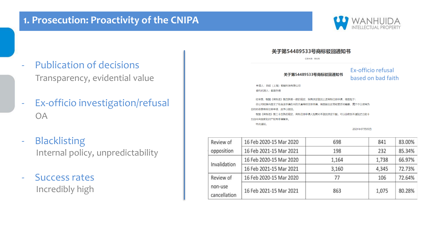

1,738

4,345

106

1,075

72.73%

72.64%

80.28%

## Publication of decisions Transparency, evidential value

- Ex-officio investigation/refusal OA
- **Blacklisting** Internal policy, unpredictability
- Success rates Incredibly high

|                                                                                                                                                                                                  | 大丁为가节のソフン与阿亚或巴坦从工<br>信息来源:商标局 |                                          |       |        |
|--------------------------------------------------------------------------------------------------------------------------------------------------------------------------------------------------|-------------------------------|------------------------------------------|-------|--------|
| 关于第54489533号商标驳回通知书                                                                                                                                                                              |                               | Ex-officio refusal<br>based on bad faith |       |        |
| 申请人: 异起 (上海) 智能科技有限公司<br>委托代理人:邮寄办理                                                                                                                                                              |                               |                                          |       |        |
| 经审查,根据《商标法》第四条第一款的规定,我局决定驳回上述商标注册申请,理由如下:<br>你公司短期内提交了包含该申请在内的大量商标注册申请,明显超出正常经营活动需要,属于不以便用为<br>月的的恶意商标注册申请,应予以驳问。<br>根据《商标法》第三十四条的规定,商标注册申请人如果对本驳回决定不服,可以自收到本通知之日起十<br>五日内向国家知识产权局申请复审。<br>特此通知。 |                               |                                          |       |        |
|                                                                                                                                                                                                  |                               | 2021年07月05日                              |       |        |
| 16 Feb 2020-15 Mar 2020                                                                                                                                                                          | 698                           |                                          | 841   | 83.00% |
| 16 Feb 2021-15 Mar 2021                                                                                                                                                                          | 198                           |                                          | 232   | 85.34% |
| 16 Feb 2020-15 Mar 2020                                                                                                                                                                          | 1.164                         |                                          | 1.738 | 66.97% |

3,160

77

863

半工笋54490522早商提格同译如土

Review of

opposition

Invalidation

Review of

cancellation

non-use

16 Feb 2021-15 Mar 2021

16 Feb 2020-15 Mar 2020

16 Feb 2021-15 Mar 2021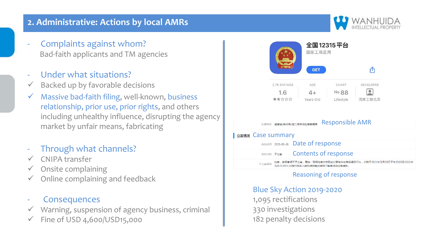#### **2. Administrative: Actions by local AMRs**

- Complaints against whom? Bad-faith applicants and TM agencies
- Under what situations?
- Backed up by favorable decisions
- $\checkmark$  Massive bad-faith filing, well-known, business relationship, prior use, prior rights, and others including unhealthy influence, disrupting the agency market by unfair means, fabricating
- Through what channels?
- ✓ CNIPA transfer
- $\checkmark$  Onsite complaining
- $\checkmark$  Online complaining and feedback

#### **Consequences**

- Warning, suspension of agency business, criminal
- Fine of USD 4,600/USD15,000



Blue Sky Action 2019-2020

1,095 rectifications 330 investigations 182 penalty decisions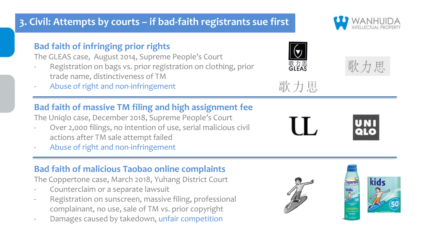## **3. Civil: Attempts by courts – if bad-faith registrants sue first**

#### **Bad faith of infringing prior rights**

The GLEAS case, August 2014, Supreme People's Court

- Registration on bags vs. prior registration on clothing, prior trade name, distinctiveness of TM
- Abuse of right and non-infringement

## **Bad faith of massive TM filing and high assignment fee**

The Uniqlo case, December 2018, Supreme People's Court

- Over 2,000 filings, no intention of use, serial malicious civil actions after TM sale attempt failed
- Abuse of right and non-infringement

## **Bad faith of malicious Taobao online complaints**

The Coppertone case, March 2018, Yuhang District Court

- Counterclaim or a separate lawsuit
- Registration on sunscreen, massive filing, professional complainant, no use, sale of TM vs. prior copyright
- Damages caused by takedown, unfair competition









匣



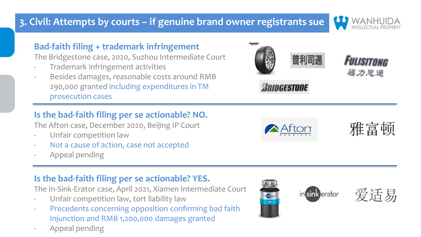## **3. Civil: Attempts by courts – if genuine brand owner registrants sue**

#### **Bad-faith filing + trademark infringement**

The Bridgestone case, 2020, Suzhou Intermediate Court

- Trademark infringement activities
- Besides damages, reasonable costs around RMB 290,000 granted including expenditures in TM prosecution cases

### **Is the bad-faith filing per se actionable? NO.**

The Afton case, December 2020, Beijing IP Court

- Unfair competition law
- Not a cause of action, case not accepted
- Appeal pending

### **Is the bad-faith filing per se actionable? YES.**

The In-Sink-Erator case, April 2021, Xiamen Intermediate Court

- Unfair competition law, tort liability law
- Precedents concerning opposition confirming bad faith Injunction and RMB 1,200,000 damages granted
- Appeal pending